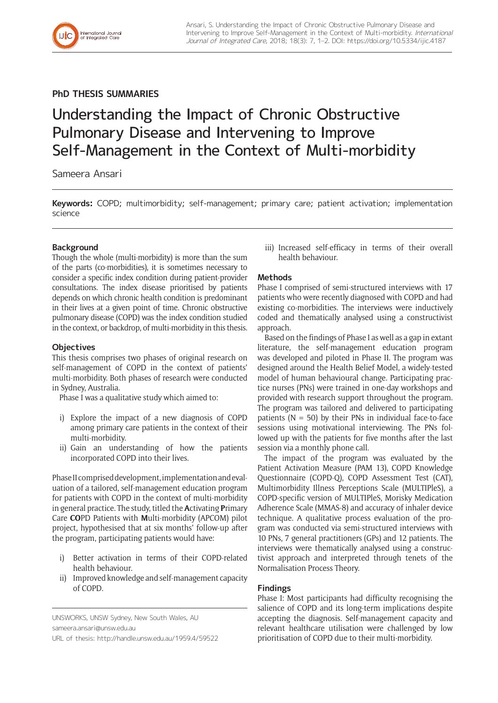**PhD THESIS SUMMARIES**

# Understanding the Impact of Chronic Obstructive Pulmonary Disease and Intervening to Improve Self-Management in the Context of Multi-morbidity

Sameera Ansari

**Keywords:** COPD; multimorbidity; self-management; primary care; patient activation; implementation science

# **Background**

Though the whole (multi-morbidity) is more than the sum of the parts (co-morbidities), it is sometimes necessary to consider a specific index condition during patient-provider consultations. The index disease prioritised by patients depends on which chronic health condition is predominant in their lives at a given point of time. Chronic obstructive pulmonary disease (COPD) was the index condition studied in the context, or backdrop, of multi-morbidity in this thesis.

## **Objectives**

This thesis comprises two phases of original research on self-management of COPD in the context of patients' multi-morbidity. Both phases of research were conducted in Sydney, Australia.

Phase I was a qualitative study which aimed to:

- i) Explore the impact of a new diagnosis of COPD among primary care patients in the context of their multi-morbidity.
- ii) Gain an understanding of how the patients incorporated COPD into their lives.

Phase II comprised development, implementation and evaluation of a tailored, self-management education program for patients with COPD in the context of multi-morbidity in general practice. The study, titled the **A**ctivating **P**rimary Care **CO**PD Patients with **M**ulti-morbidity (APCOM) pilot project, hypothesised that at six months' follow-up after the program, participating patients would have:

- i) Better activation in terms of their COPD-related health behaviour.
- ii) Improved knowledge and self-management capacity of COPD.

UNSWORKS, UNSW Sydney, New South Wales, AU [sameera.ansari@unsw.edu.au](mailto:sameera.ansari@unsw.edu.au) URL of thesis:<http://handle.unsw.edu.au/1959.4/59522> iii) Increased self-efficacy in terms of their overall health behaviour.

# **Methods**

Phase I comprised of semi-structured interviews with 17 patients who were recently diagnosed with COPD and had existing co-morbidities. The interviews were inductively coded and thematically analysed using a constructivist approach.

Based on the findings of Phase I as well as a gap in extant literature, the self-management education program was developed and piloted in Phase II. The program was designed around the Health Belief Model, a widely-tested model of human behavioural change. Participating practice nurses (PNs) were trained in one-day workshops and provided with research support throughout the program. The program was tailored and delivered to participating patients ( $N = 50$ ) by their PNs in individual face-to-face sessions using motivational interviewing. The PNs followed up with the patients for five months after the last session via a monthly phone call.

The impact of the program was evaluated by the Patient Activation Measure (PAM 13), COPD Knowledge Questionnaire (COPD-Q), COPD Assessment Test (CAT), Multimorbidity Illness Perceptions Scale (MULTIPleS), a COPD-specific version of MULTIPleS, Morisky Medication Adherence Scale (MMAS-8) and accuracy of inhaler device technique. A qualitative process evaluation of the program was conducted via semi-structured interviews with 10 PNs, 7 general practitioners (GPs) and 12 patients. The interviews were thematically analysed using a constructivist approach and interpreted through tenets of the Normalisation Process Theory.

# **Findings**

Phase I: Most participants had difficulty recognising the salience of COPD and its long-term implications despite accepting the diagnosis. Self-management capacity and relevant healthcare utilisation were challenged by low prioritisation of COPD due to their multi-morbidity.